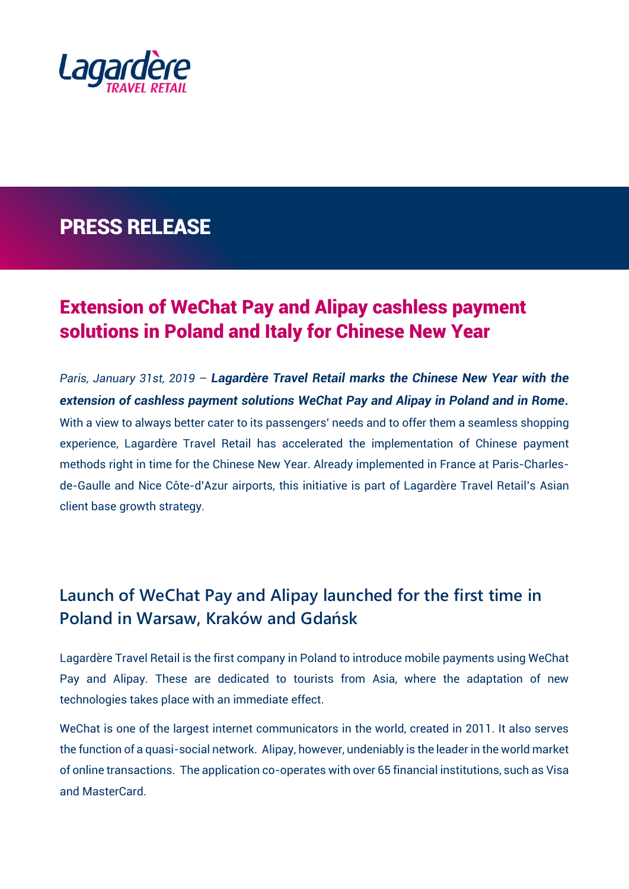

## PRESS RELEASE

## Extension of WeChat Pay and Alipay cashless payment solutions in Poland and Italy for Chinese New Year

*Paris, January 31st, 2019* – *Lagardère Travel Retail marks the Chinese New Year with the extension of cashless payment solutions WeChat Pay and Alipay in Poland and in Rome.* With a view to always better cater to its passengers' needs and to offer them a seamless shopping experience, Lagardère Travel Retail has accelerated the implementation of Chinese payment methods right in time for the Chinese New Year. Already implemented in France at Paris-Charlesde-Gaulle and Nice Côte-d'Azur airports, this initiative is part of Lagardère Travel Retail's Asian client base growth strategy.

## **Launch of WeChat Pay and Alipay launched for the first time in Poland in Warsaw, Kraków and Gdańsk**

Lagardère Travel Retail is the first company in Poland to introduce mobile payments using WeChat Pay and Alipay. These are dedicated to tourists from Asia, where the adaptation of new technologies takes place with an immediate effect.

WeChat is one of the largest internet communicators in the world, created in 2011. It also serves the function of a quasi-social network. Alipay, however, undeniably is the leader in the world market of online transactions. The application co-operates with over 65 financial institutions, such as Visa and MasterCard.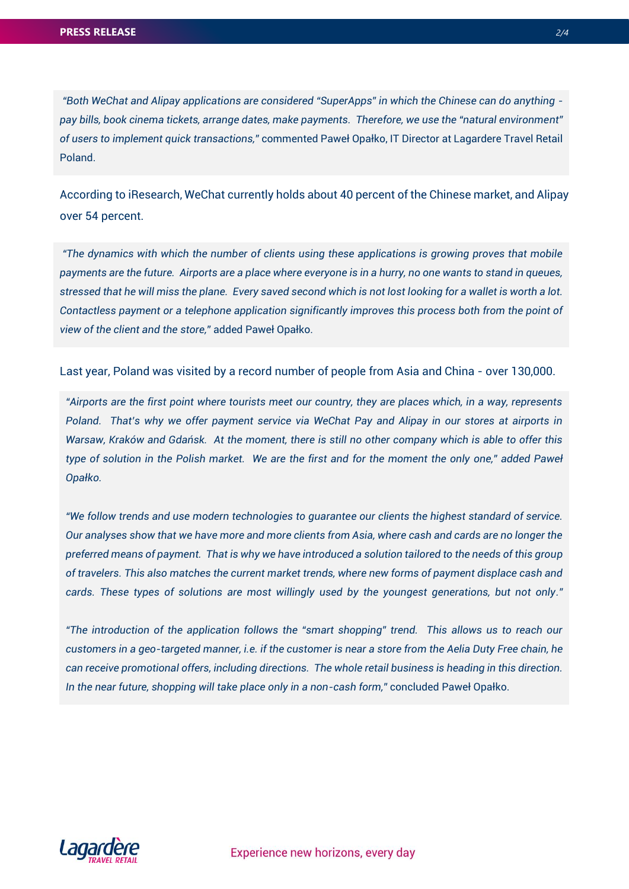*"Both WeChat and Alipay applications are considered "SuperApps" in which the Chinese can do anything pay bills, book cinema tickets, arrange dates, make payments. Therefore, we use the "natural environment" of users to implement quick transactions,"* commented Paweł Opałko, IT Director at Lagardere Travel Retail Poland.

According to iResearch, WeChat currently holds about 40 percent of the Chinese market, and Alipay over 54 percent.

*"The dynamics with which the number of clients using these applications is growing proves that mobile payments are the future. Airports are a place where everyone is in a hurry, no one wants to stand in queues, stressed that he will miss the plane. Every saved second which is not lost looking for a wallet is worth a lot. Contactless payment or a telephone application significantly improves this process both from the point of view of the client and the store,"* added Paweł Opałko.

Last year, Poland was visited by a record number of people from Asia and China - over 130,000.

*"Airports are the first point where tourists meet our country, they are places which, in a way, represents Poland. That's why we offer payment service via WeChat Pay and Alipay in our stores at airports in Warsaw, Kraków and Gdańsk. At the moment, there is still no other company which is able to offer this type of solution in the Polish market. We are the first and for the moment the only one," added Paweł Opałko.*

*"We follow trends and use modern technologies to guarantee our clients the highest standard of service. Our analyses show that we have more and more clients from Asia, where cash and cards are no longer the preferred means of payment. That is why we have introduced a solution tailored to the needs of this group of travelers. This also matches the current market trends, where new forms of payment displace cash and cards. These types of solutions are most willingly used by the youngest generations, but not only."*

*"The introduction of the application follows the "smart shopping" trend. This allows us to reach our customers in a geo-targeted manner, i.e. if the customer is near a store from the Aelia Duty Free chain, he can receive promotional offers, including directions. The whole retail business is heading in this direction. In the near future, shopping will take place only in a non-cash form,"* concluded Paweł Opałko.

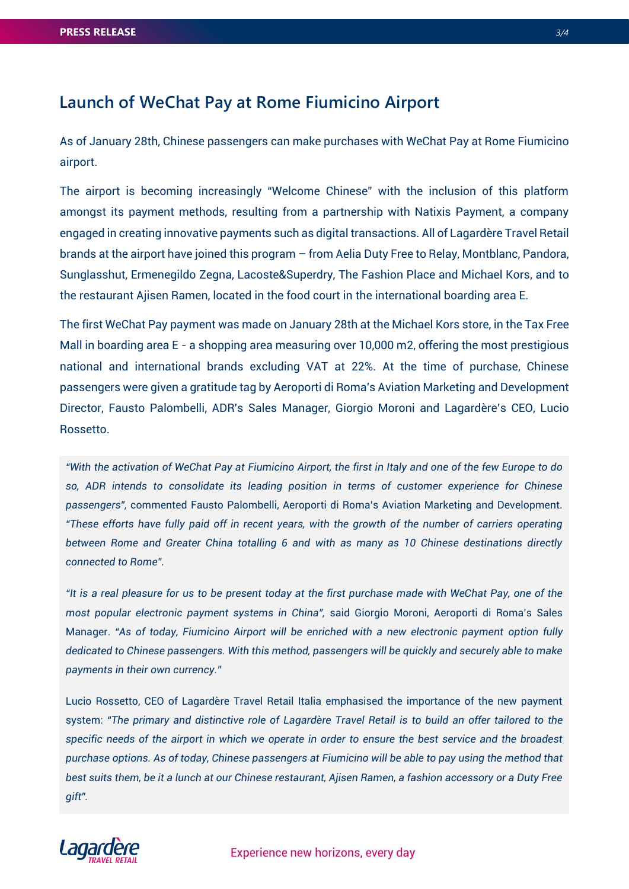## **Launch of WeChat Pay at Rome Fiumicino Airport**

As of January 28th, Chinese passengers can make purchases with WeChat Pay at Rome Fiumicino airport.

The airport is becoming increasingly "Welcome Chinese" with the inclusion of this platform amongst its payment methods, resulting from a partnership with Natixis Payment, a company engaged in creating innovative payments such as digital transactions. All of Lagardère Travel Retail brands at the airport have joined this program – from Aelia Duty Free to Relay, Montblanc, Pandora, Sunglasshut, Ermenegildo Zegna, Lacoste&Superdry, The Fashion Place and Michael Kors, and to the restaurant Ajisen Ramen, located in the food court in the international boarding area E.

The first WeChat Pay payment was made on January 28th at the Michael Kors store, in the Tax Free Mall in boarding area E - a shopping area measuring over 10,000 m2, offering the most prestigious national and international brands excluding VAT at 22%. At the time of purchase, Chinese passengers were given a gratitude tag by Aeroporti di Roma's Aviation Marketing and Development Director, Fausto Palombelli, ADR's Sales Manager, Giorgio Moroni and Lagardère's CEO, Lucio Rossetto.

*"With the activation of WeChat Pay at Fiumicino Airport, the first in Italy and one of the few Europe to do so, ADR intends to consolidate its leading position in terms of customer experience for Chinese passengers",* commented Fausto Palombelli, Aeroporti di Roma's Aviation Marketing and Development. *"These efforts have fully paid off in recent years, with the growth of the number of carriers operating between Rome and Greater China totalling 6 and with as many as 10 Chinese destinations directly connected to Rome".*

*"It is a real pleasure for us to be present today at the first purchase made with WeChat Pay, one of the most popular electronic payment systems in China",* said Giorgio Moroni, Aeroporti di Roma's Sales Manager. "As of today, Fiumicino Airport will be enriched with a new electronic payment option fully *dedicated to Chinese passengers. With this method, passengers will be quickly and securely able to make payments in their own currency."* 

Lucio Rossetto, CEO of Lagardère Travel Retail Italia emphasised the importance of the new payment system: *"The primary and distinctive role of Lagardère Travel Retail is to build an offer tailored to the specific needs of the airport in which we operate in order to ensure the best service and the broadest purchase options. As of today, Chinese passengers at Fiumicino will be able to pay using the method that best suits them, be it a lunch at our Chinese restaurant, Ajisen Ramen, a fashion accessory or a Duty Free gift".*